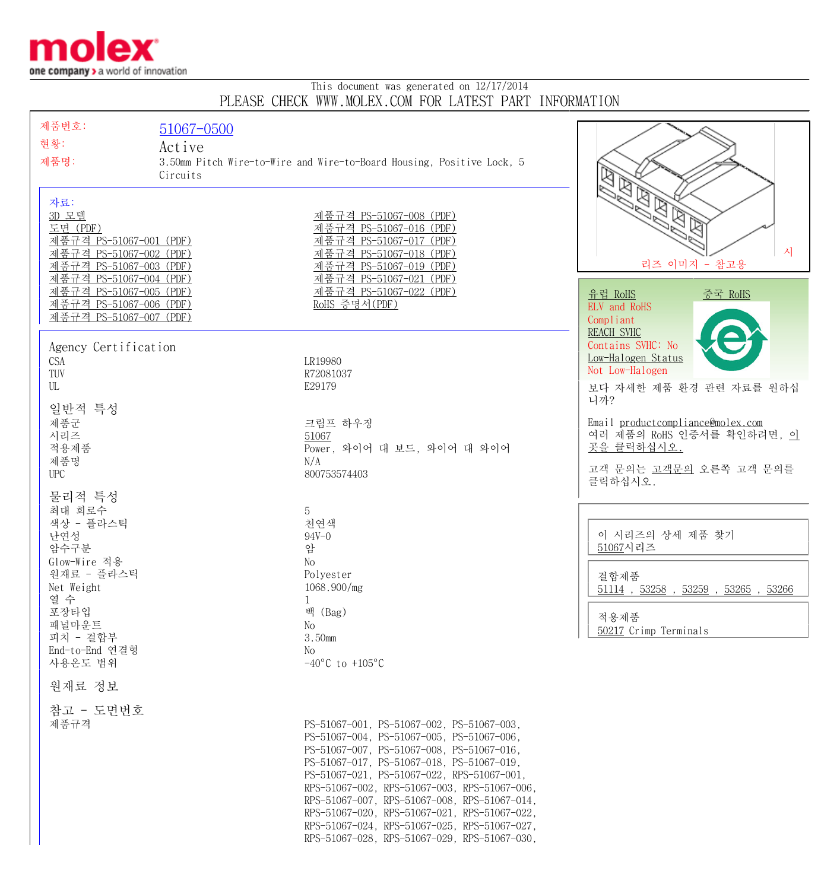

## This document was generated on 12/17/2014 PLEASE CHECK WWW.MOLEX.COM FOR LATEST PART INFORMATION

| 제품번호:                                              | 51067-0500 |                                                                                              |                                                 |
|----------------------------------------------------|------------|----------------------------------------------------------------------------------------------|-------------------------------------------------|
| 현황:                                                | Active     |                                                                                              |                                                 |
| 제품명:                                               |            | 3.50mm Pitch Wire-to-Wire and Wire-to-Board Housing, Positive Lock, 5                        |                                                 |
|                                                    | Circuits   |                                                                                              |                                                 |
| 자료:                                                |            |                                                                                              | ശ<br>ধ্য                                        |
| 3D 모델                                              |            | 제품규격 PS-51067-008 (PDF)                                                                      | $\overline{\mathbb{R}}$<br>$\mathbb{Z}$         |
| 도면 (PDF)                                           |            | 제품규격 PS-51067-016 (PDF)                                                                      |                                                 |
| 제품규격 PS-51067-001 (PDF)                            |            | 제품규격 PS-51067-017 (PDF)                                                                      | 시                                               |
| 제품규격 PS-51067-002 (PDF)<br>제품규격 PS-51067-003 (PDF) |            | 제품규격 PS-51067-018 (PDF)<br>제품규격 PS-51067-019 (PDF)                                           | 리즈 이미지 - 참고용                                    |
| 제품규격 PS-51067-004 (PDF)                            |            | 제품규격 PS-51067-021 (PDF)                                                                      |                                                 |
| 제품규격 PS-51067-005 (PDF)                            |            | 제품규격 PS-51067-022 (PDF)                                                                      | <u>유럽 RoHS</u><br><u>중국 RoHS</u>                |
| 제품규격 PS-51067-006 (PDF)<br>제품규격 PS-51067-007 (PDF) |            | RoHS 증명서(PDF)                                                                                | ELV and RoHS<br>Compliant                       |
|                                                    |            |                                                                                              | <b>REACH SVHC</b>                               |
| Agency Certification                               |            |                                                                                              | Contains SVHC: No                               |
| <b>CSA</b>                                         |            | LR19980                                                                                      | Low-Halogen Status<br>Not Low-Halogen           |
| TUV<br>UL                                          |            | R72081037<br>E29179                                                                          | 보다 자세한 제품 환경 관련 자료를 원하십                         |
|                                                    |            |                                                                                              | 니까?                                             |
| 일반적 특성                                             |            |                                                                                              | Email productcompliance@molex.com               |
| 제품군<br>시리즈                                         |            | 크림프 하우징<br>51067                                                                             | 여러 제품의 RoHS 인증서를 확인하려면, 이                       |
| 적용제품                                               |            | Power, 와이어 대 보드, 와이어 대 와이어                                                                   | 곳을 클릭하십시오.                                      |
| 제품명<br><b>UPC</b>                                  |            | N/A<br>800753574403                                                                          | 고객 문의는 고객문의 오른쪽 고객 문의를                          |
|                                                    |            |                                                                                              | 클릭하십시오.                                         |
| 물리적 특성                                             |            |                                                                                              |                                                 |
| 최대 회로수<br>색상 - 플라스틱                                |            | 5<br>천연색                                                                                     |                                                 |
| 난연성                                                |            | $94V - 0$                                                                                    | 이 시리즈의 상세 제품 찾기                                 |
| 암수구분                                               |            | 암                                                                                            | 51067시리즈                                        |
| Glow-Wire 적용<br>원재료 - 플라스틱                         |            | No<br>Polyester                                                                              | 결합제품                                            |
| Net Weight                                         |            | 1068.900/mg                                                                                  | $51114$ , $53258$ , $53259$ , $53265$ , $53266$ |
| 열 수<br>포장타입                                        |            | 1<br>백 (Bag)                                                                                 |                                                 |
| 패널마운트                                              |            | No                                                                                           | 적용제품                                            |
| 피치 - 결합부                                           |            | 3.50mm                                                                                       | 50217 Crimp Terminals                           |
| End-to-End 연결형<br>사용온도 범위                          |            | No<br>$-40^{\circ}$ C to $+105^{\circ}$ C                                                    |                                                 |
| 원재료 정보                                             |            |                                                                                              |                                                 |
|                                                    |            |                                                                                              |                                                 |
| 참고 - 도면번호<br>제품규격                                  |            | PS-51067-001, PS-51067-002, PS-51067-003,                                                    |                                                 |
|                                                    |            | PS-51067-004, PS-51067-005, PS-51067-006,                                                    |                                                 |
|                                                    |            | PS-51067-007, PS-51067-008, PS-51067-016,                                                    |                                                 |
|                                                    |            | PS-51067-017, PS-51067-018, PS-51067-019,<br>PS-51067-021, PS-51067-022, RPS-51067-001,      |                                                 |
|                                                    |            | RPS-51067-002, RPS-51067-003, RPS-51067-006,                                                 |                                                 |
|                                                    |            | RPS-51067-007, RPS-51067-008, RPS-51067-014,<br>RPS-51067-020, RPS-51067-021, RPS-51067-022, |                                                 |
|                                                    |            | RPS-51067-024, RPS-51067-025, RPS-51067-027,                                                 |                                                 |
|                                                    |            | RPS-51067-028, RPS-51067-029, RPS-51067-030,                                                 |                                                 |